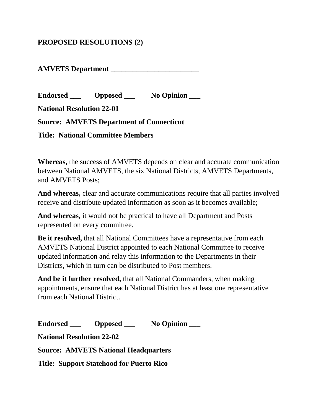## **PROPOSED RESOLUTIONS (2)**

**AMVETS Department \_\_\_\_\_\_\_\_\_\_\_\_\_\_\_\_\_\_\_\_\_\_\_\_**

**Endorsed \_\_\_ Opposed \_\_\_ No Opinion \_\_\_**

**National Resolution 22-01**

**Source: AMVETS Department of Connecticut** 

**Title: National Committee Members**

**Whereas,** the success of AMVETS depends on clear and accurate communication between National AMVETS, the six National Districts, AMVETS Departments, and AMVETS Posts;

**And whereas,** clear and accurate communications require that all parties involved receive and distribute updated information as soon as it becomes available;

**And whereas,** it would not be practical to have all Department and Posts represented on every committee.

**Be it resolved,** that all National Committees have a representative from each AMVETS National District appointed to each National Committee to receive updated information and relay this information to the Departments in their Districts, which in turn can be distributed to Post members.

**And be it further resolved,** that all National Commanders, when making appointments, ensure that each National District has at least one representative from each National District.

**Endorsed \_\_\_ Opposed \_\_\_ No Opinion \_\_\_ National Resolution 22-02 Source: AMVETS National Headquarters Title: Support Statehood for Puerto Rico**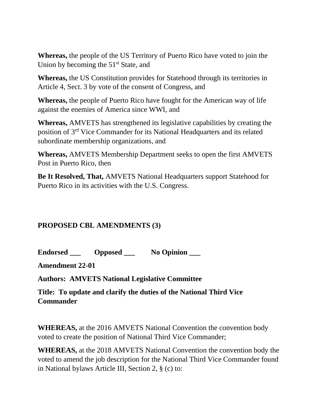**Whereas,** the people of the US Territory of Puerto Rico have voted to join the Union by becoming the  $51<sup>st</sup>$  State, and

**Whereas,** the US Constitution provides for Statehood through its territories in Article 4, Sect. 3 by vote of the consent of Congress, and

**Whereas,** the people of Puerto Rico have fought for the American way of life against the enemies of America since WWI, and

**Whereas,** AMVETS has strengthened its legislative capabilities by creating the position of 3rd Vice Commander for its National Headquarters and its related subordinate membership organizations, and

**Whereas,** AMVETS Membership Department seeks to open the first AMVETS Post in Puerto Rico, then

**Be It Resolved, That,** AMVETS National Headquarters support Statehood for Puerto Rico in its activities with the U.S. Congress.

## **PROPOSED CBL AMENDMENTS (3)**

**Endorsed \_\_\_ Opposed \_\_\_ No Opinion \_\_\_**

**Amendment 22-01**

**Authors: AMVETS National Legislative Committee**

**Title: To update and clarify the duties of the National Third Vice Commander**

**WHEREAS,** at the 2016 AMVETS National Convention the convention body voted to create the position of National Third Vice Commander;

**WHEREAS,** at the 2018 AMVETS National Convention the convention body the voted to amend the job description for the National Third Vice Commander found in National bylaws Article III, Section 2, § (c) to: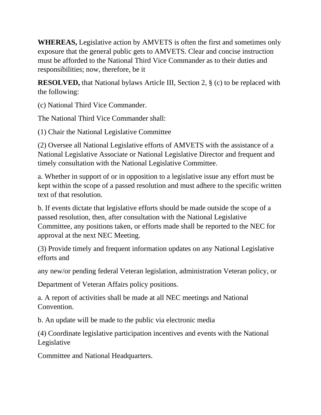**WHEREAS,** Legislative action by AMVETS is often the first and sometimes only exposure that the general public gets to AMVETS. Clear and concise instruction must be afforded to the National Third Vice Commander as to their duties and responsibilities; now, therefore, be it

**RESOLVED,** that National bylaws Article III, Section 2, § (c) to be replaced with the following:

(c) National Third Vice Commander.

The National Third Vice Commander shall:

(1) Chair the National Legislative Committee

(2) Oversee all National Legislative efforts of AMVETS with the assistance of a National Legislative Associate or National Legislative Director and frequent and timely consultation with the National Legislative Committee.

a. Whether in support of or in opposition to a legislative issue any effort must be kept within the scope of a passed resolution and must adhere to the specific written text of that resolution.

b. If events dictate that legislative efforts should be made outside the scope of a passed resolution, then, after consultation with the National Legislative Committee, any positions taken, or efforts made shall be reported to the NEC for approval at the next NEC Meeting.

(3) Provide timely and frequent information updates on any National Legislative efforts and

any new/or pending federal Veteran legislation, administration Veteran policy, or

Department of Veteran Affairs policy positions.

a. A report of activities shall be made at all NEC meetings and National Convention.

b. An update will be made to the public via electronic media

(4) Coordinate legislative participation incentives and events with the National Legislative

Committee and National Headquarters.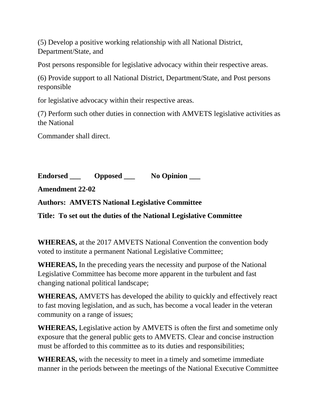(5) Develop a positive working relationship with all National District, Department/State, and

Post persons responsible for legislative advocacy within their respective areas.

(6) Provide support to all National District, Department/State, and Post persons responsible

for legislative advocacy within their respective areas.

(7) Perform such other duties in connection with AMVETS legislative activities as the National

Commander shall direct.

**Endorsed \_\_\_ Opposed \_\_\_ No Opinion \_\_\_**

**Amendment 22-02**

**Authors: AMVETS National Legislative Committee**

**Title: To set out the duties of the National Legislative Committee**

**WHEREAS,** at the 2017 AMVETS National Convention the convention body voted to institute a permanent National Legislative Committee;

**WHEREAS,** In the preceding years the necessity and purpose of the National Legislative Committee has become more apparent in the turbulent and fast changing national political landscape;

**WHEREAS,** AMVETS has developed the ability to quickly and effectively react to fast moving legislation, and as such, has become a vocal leader in the veteran community on a range of issues;

**WHEREAS,** Legislative action by AMVETS is often the first and sometime only exposure that the general public gets to AMVETS. Clear and concise instruction must be afforded to this committee as to its duties and responsibilities;

**WHEREAS,** with the necessity to meet in a timely and sometime immediate manner in the periods between the meetings of the National Executive Committee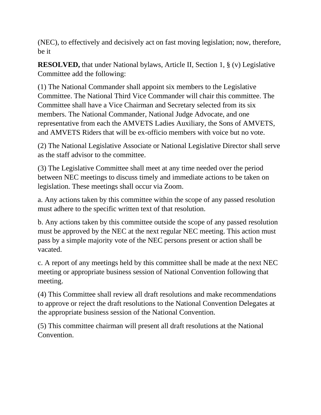(NEC), to effectively and decisively act on fast moving legislation; now, therefore, be it

**RESOLVED,** that under National bylaws, Article II, Section 1, § (v) Legislative Committee add the following:

(1) The National Commander shall appoint six members to the Legislative Committee. The National Third Vice Commander will chair this committee. The Committee shall have a Vice Chairman and Secretary selected from its six members. The National Commander, National Judge Advocate, and one representative from each the AMVETS Ladies Auxiliary, the Sons of AMVETS, and AMVETS Riders that will be ex-officio members with voice but no vote.

(2) The National Legislative Associate or National Legislative Director shall serve as the staff advisor to the committee.

(3) The Legislative Committee shall meet at any time needed over the period between NEC meetings to discuss timely and immediate actions to be taken on legislation. These meetings shall occur via Zoom.

a. Any actions taken by this committee within the scope of any passed resolution must adhere to the specific written text of that resolution.

b. Any actions taken by this committee outside the scope of any passed resolution must be approved by the NEC at the next regular NEC meeting. This action must pass by a simple majority vote of the NEC persons present or action shall be vacated.

c. A report of any meetings held by this committee shall be made at the next NEC meeting or appropriate business session of National Convention following that meeting.

(4) This Committee shall review all draft resolutions and make recommendations to approve or reject the draft resolutions to the National Convention Delegates at the appropriate business session of the National Convention.

(5) This committee chairman will present all draft resolutions at the National Convention.